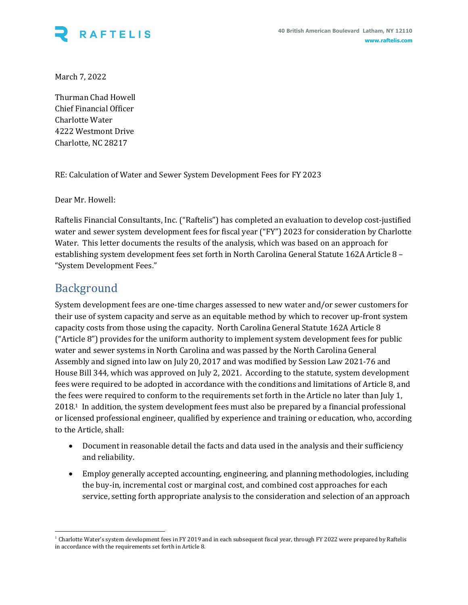

March 7, 2022

Thurman Chad Howell Chief Financial Officer Charlotte Water 4222 Westmont Drive Charlotte, NC 28217

RE: Calculation of Water and Sewer System Development Fees for FY 2023

Dear Mr. Howell:

Raftelis Financial Consultants, Inc. ("Raftelis") has completed an evaluation to develop cost-justified water and sewer system development fees for fiscal year ("FY") 2023 for consideration by Charlotte Water. This letter documents the results of the analysis, which was based on an approach for establishing system development fees set forth in North Carolina General Statute 162A Article 8 – "System Development Fees."

# Background

System development fees are one-time charges assessed to new water and/or sewer customers for their use of system capacity and serve as an equitable method by which to recover up-front system capacity costs from those using the capacity. North Carolina General Statute 162A Article 8 ("Article 8") provides for the uniform authority to implement system development fees for public water and sewer systems in North Carolina and was passed by the North Carolina General Assembly and signed into law on July 20, 2017 and was modified by Session Law 2021-76 and House Bill 344, which was approved on July 2, 2021. According to the statute, system development fees were required to be adopted in accordance with the conditions and limitations of Article 8, and the fees were required to conform to the requirements set forth in the Article no later than July 1, 2018.1 In addition, the system development fees must also be prepared by a financial professional or licensed professional engineer, qualified by experience and training or education, who, according to the Article, shall:

- Document in reasonable detail the facts and data used in the analysis and their sufficiency and reliability.
- Employ generally accepted accounting, engineering, and planning methodologies, including the buy-in, incremental cost or marginal cost, and combined cost approaches for each service, setting forth appropriate analysis to the consideration and selection of an approach

 $1$  Charlotte Water's system development fees in FY 2019 and in each subsequent fiscal year, through FY 2022 were prepared by Raftelis in accordance with the requirements set forth in Article 8.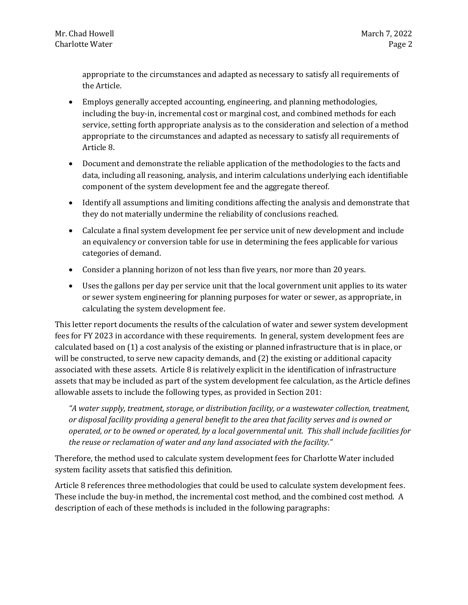appropriate to the circumstances and adapted as necessary to satisfy all requirements of the Article.

- Employs generally accepted accounting, engineering, and planning methodologies, including the buy-in, incremental cost or marginal cost, and combined methods for each service, setting forth appropriate analysis as to the consideration and selection of a method appropriate to the circumstances and adapted as necessary to satisfy all requirements of Article 8.
- Document and demonstrate the reliable application of the methodologies to the facts and data, including all reasoning, analysis, and interim calculations underlying each identifiable component of the system development fee and the aggregate thereof.
- Identify all assumptions and limiting conditions affecting the analysis and demonstrate that they do not materially undermine the reliability of conclusions reached.
- Calculate a final system development fee per service unit of new development and include an equivalency or conversion table for use in determining the fees applicable for various categories of demand.
- Consider a planning horizon of not less than five years, nor more than 20 years.
- Uses the gallons per day per service unit that the local government unit applies to its water or sewer system engineering for planning purposes for water or sewer, as appropriate, in calculating the system development fee.

This letter report documents the results of the calculation of water and sewer system development fees for FY 2023 in accordance with these requirements. In general, system development fees are calculated based on (1) a cost analysis of the existing or planned infrastructure that is in place, or will be constructed, to serve new capacity demands, and (2) the existing or additional capacity associated with these assets. Article 8 is relatively explicit in the identification of infrastructure assets that may be included as part of the system development fee calculation, as the Article defines allowable assets to include the following types, as provided in Section 201:

"A water supply, treatment, storage, or distribution facility, or a wastewater collection, treatment, or disposal facility providing a general benefit to the area that facility serves and is owned or operated, or to be owned or operated, by a local governmental unit. This shall include facilities for the reuse or reclamation of water and any land associated with the facility."

Therefore, the method used to calculate system development fees for Charlotte Water included system facility assets that satisfied this definition.

Article 8 references three methodologies that could be used to calculate system development fees. These include the buy-in method, the incremental cost method, and the combined cost method. A description of each of these methods is included in the following paragraphs: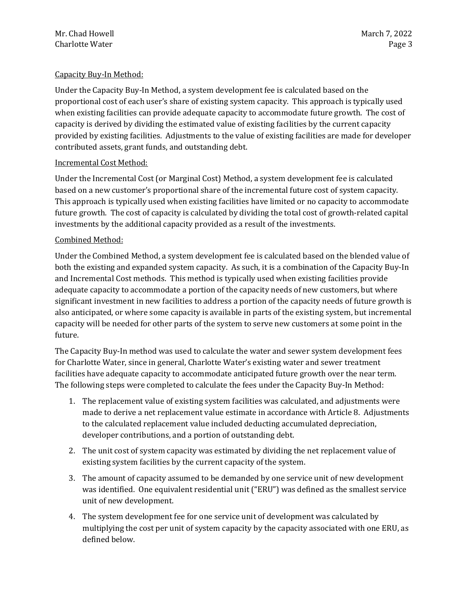### Capacity Buy-In Method:

Under the Capacity Buy-In Method, a system development fee is calculated based on the proportional cost of each user's share of existing system capacity. This approach is typically used when existing facilities can provide adequate capacity to accommodate future growth. The cost of capacity is derived by dividing the estimated value of existing facilities by the current capacity provided by existing facilities. Adjustments to the value of existing facilities are made for developer contributed assets, grant funds, and outstanding debt.

### Incremental Cost Method:

Under the Incremental Cost (or Marginal Cost) Method, a system development fee is calculated based on a new customer's proportional share of the incremental future cost of system capacity. This approach is typically used when existing facilities have limited or no capacity to accommodate future growth. The cost of capacity is calculated by dividing the total cost of growth-related capital investments by the additional capacity provided as a result of the investments.

### Combined Method:

Under the Combined Method, a system development fee is calculated based on the blended value of both the existing and expanded system capacity. As such, it is a combination of the Capacity Buy-In and Incremental Cost methods. This method is typically used when existing facilities provide adequate capacity to accommodate a portion of the capacity needs of new customers, but where significant investment in new facilities to address a portion of the capacity needs of future growth is also anticipated, or where some capacity is available in parts of the existing system, but incremental capacity will be needed for other parts of the system to serve new customers at some point in the future.

The Capacity Buy-In method was used to calculate the water and sewer system development fees for Charlotte Water, since in general, Charlotte Water's existing water and sewer treatment facilities have adequate capacity to accommodate anticipated future growth over the near term. The following steps were completed to calculate the fees under the Capacity Buy-In Method:

- 1. The replacement value of existing system facilities was calculated, and adjustments were made to derive a net replacement value estimate in accordance with Article 8. Adjustments to the calculated replacement value included deducting accumulated depreciation, developer contributions, and a portion of outstanding debt.
- 2. The unit cost of system capacity was estimated by dividing the net replacement value of existing system facilities by the current capacity of the system.
- 3. The amount of capacity assumed to be demanded by one service unit of new development was identified. One equivalent residential unit ("ERU") was defined as the smallest service unit of new development.
- 4. The system development fee for one service unit of development was calculated by multiplying the cost per unit of system capacity by the capacity associated with one ERU, as defined below.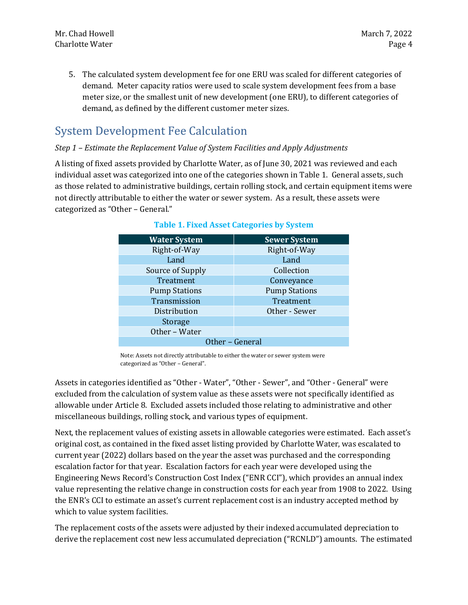5. The calculated system development fee for one ERU was scaled for different categories of demand. Meter capacity ratios were used to scale system development fees from a base meter size, or the smallest unit of new development (one ERU), to different categories of demand, as defined by the different customer meter sizes.

# System Development Fee Calculation

### Step 1 – Estimate the Replacement Value of System Facilities and Apply Adjustments

A listing of fixed assets provided by Charlotte Water, as of June 30, 2021 was reviewed and each individual asset was categorized into one of the categories shown in Table 1. General assets, such as those related to administrative buildings, certain rolling stock, and certain equipment items were not directly attributable to either the water or sewer system. As a result, these assets were categorized as "Other – General."

| <b>Water System</b>  | <b>Sewer System</b>  |
|----------------------|----------------------|
| Right-of-Way         | Right-of-Way         |
| Land                 | Land                 |
| Source of Supply     | Collection           |
| Treatment            | Conveyance           |
| <b>Pump Stations</b> | <b>Pump Stations</b> |
| Transmission         | Treatment            |
| Distribution         | Other - Sewer        |
| Storage              |                      |
| Other - Water        |                      |
| Other - General      |                      |

### Table 1. Fixed Asset Categories by System

Note: Assets not directly attributable to either the water or sewer system were categorized as "Other – General".

Assets in categories identified as "Other - Water", "Other - Sewer", and "Other - General" were excluded from the calculation of system value as these assets were not specifically identified as allowable under Article 8. Excluded assets included those relating to administrative and other miscellaneous buildings, rolling stock, and various types of equipment.

Next, the replacement values of existing assets in allowable categories were estimated. Each asset's original cost, as contained in the fixed asset listing provided by Charlotte Water, was escalated to current year (2022) dollars based on the year the asset was purchased and the corresponding escalation factor for that year. Escalation factors for each year were developed using the Engineering News Record's Construction Cost Index ("ENR CCI"), which provides an annual index value representing the relative change in construction costs for each year from 1908 to 2022. Using the ENR's CCI to estimate an asset's current replacement cost is an industry accepted method by which to value system facilities.

The replacement costs of the assets were adjusted by their indexed accumulated depreciation to derive the replacement cost new less accumulated depreciation ("RCNLD") amounts. The estimated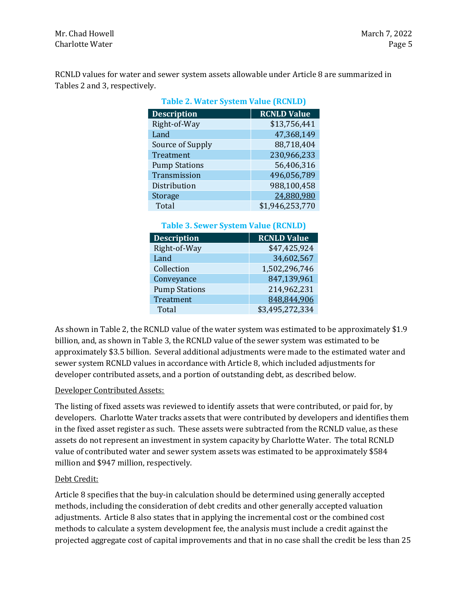RCNLD values for water and sewer system assets allowable under Article 8 are summarized in Tables 2 and 3, respectively.

| <b>Table 2. Water System Value (RCNLD)</b> |                    |  |
|--------------------------------------------|--------------------|--|
| <b>Description</b>                         | <b>RCNLD Value</b> |  |
| Right-of-Way                               | \$13,756,441       |  |
| Land                                       | 47,368,149         |  |
| Source of Supply                           | 88,718,404         |  |
| Treatment                                  | 230,966,233        |  |
| <b>Pump Stations</b>                       | 56,406,316         |  |
| Transmission                               | 496,056,789        |  |
| Distribution                               | 988,100,458        |  |
| Storage                                    | 24,880,980         |  |
| Total                                      | \$1,946,253,770    |  |

| <b>Table 3. Sewer System Value (RCNLD)</b> |               |  |
|--------------------------------------------|---------------|--|
| <b>RCNLD Value</b><br><b>Description</b>   |               |  |
| Right-of-Way                               | \$47,425,924  |  |
| Land                                       | 34,602,567    |  |
| Collection                                 | 1,502,296,746 |  |
| Conveyance                                 | 847,139,961   |  |
| <b>Pump Stations</b>                       | 214,962,231   |  |
| Treatment                                  | 848,844,906   |  |
| \$3,495,272,334<br>Total                   |               |  |

As shown in Table 2, the RCNLD value of the water system was estimated to be approximately \$1.9 billion, and, as shown in Table 3, the RCNLD value of the sewer system was estimated to be approximately \$3.5 billion. Several additional adjustments were made to the estimated water and sewer system RCNLD values in accordance with Article 8, which included adjustments for developer contributed assets, and a portion of outstanding debt, as described below.

### Developer Contributed Assets:

The listing of fixed assets was reviewed to identify assets that were contributed, or paid for, by developers. Charlotte Water tracks assets that were contributed by developers and identifies them in the fixed asset register as such. These assets were subtracted from the RCNLD value, as these assets do not represent an investment in system capacity by Charlotte Water. The total RCNLD value of contributed water and sewer system assets was estimated to be approximately \$584 million and \$947 million, respectively.

### Debt Credit:

Article 8 specifies that the buy-in calculation should be determined using generally accepted methods, including the consideration of debt credits and other generally accepted valuation adjustments. Article 8 also states that in applying the incremental cost or the combined cost methods to calculate a system development fee, the analysis must include a credit against the projected aggregate cost of capital improvements and that in no case shall the credit be less than 25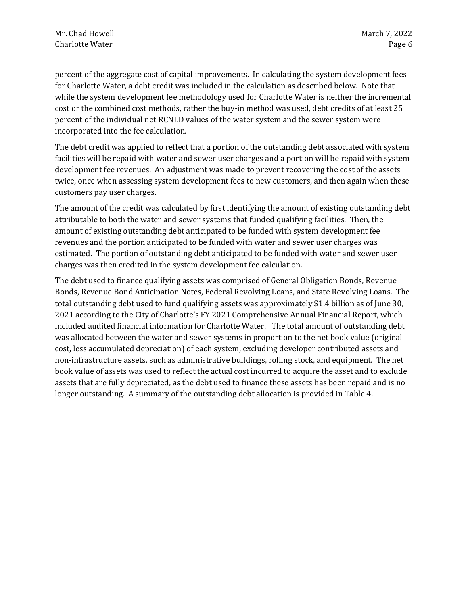percent of the aggregate cost of capital improvements. In calculating the system development fees for Charlotte Water, a debt credit was included in the calculation as described below. Note that while the system development fee methodology used for Charlotte Water is neither the incremental cost or the combined cost methods, rather the buy-in method was used, debt credits of at least 25 percent of the individual net RCNLD values of the water system and the sewer system were incorporated into the fee calculation.

The debt credit was applied to reflect that a portion of the outstanding debt associated with system facilities will be repaid with water and sewer user charges and a portion will be repaid with system development fee revenues. An adjustment was made to prevent recovering the cost of the assets twice, once when assessing system development fees to new customers, and then again when these customers pay user charges.

The amount of the credit was calculated by first identifying the amount of existing outstanding debt attributable to both the water and sewer systems that funded qualifying facilities. Then, the amount of existing outstanding debt anticipated to be funded with system development fee revenues and the portion anticipated to be funded with water and sewer user charges was estimated. The portion of outstanding debt anticipated to be funded with water and sewer user charges was then credited in the system development fee calculation.

The debt used to finance qualifying assets was comprised of General Obligation Bonds, Revenue Bonds, Revenue Bond Anticipation Notes, Federal Revolving Loans, and State Revolving Loans. The total outstanding debt used to fund qualifying assets was approximately \$1.4 billion as of June 30, 2021 according to the City of Charlotte's FY 2021 Comprehensive Annual Financial Report, which included audited financial information for Charlotte Water. The total amount of outstanding debt was allocated between the water and sewer systems in proportion to the net book value (original cost, less accumulated depreciation) of each system, excluding developer contributed assets and non-infrastructure assets, such as administrative buildings, rolling stock, and equipment. The net book value of assets was used to reflect the actual cost incurred to acquire the asset and to exclude assets that are fully depreciated, as the debt used to finance these assets has been repaid and is no longer outstanding. A summary of the outstanding debt allocation is provided in Table 4.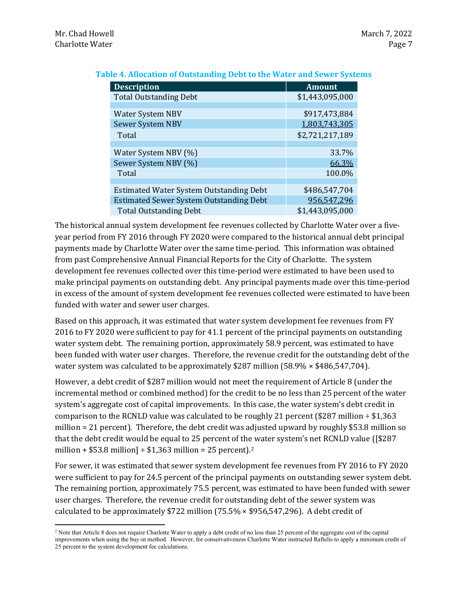| <b>Description</b>                             | <b>Amount</b>   |
|------------------------------------------------|-----------------|
| <b>Total Outstanding Debt</b>                  | \$1,443,095,000 |
|                                                |                 |
| <b>Water System NBV</b>                        | \$917,473,884   |
| <b>Sewer System NBV</b>                        | 1,803,743,305   |
| Total                                          | \$2,721,217,189 |
|                                                |                 |
| Water System NBV (%)                           | 33.7%           |
| Sewer System NBV (%)                           | 66.3%           |
| Total                                          | 100.0%          |
|                                                |                 |
| Estimated Water System Outstanding Debt        | \$486,547,704   |
| <b>Estimated Sewer System Outstanding Debt</b> | 956,547,296     |
| <b>Total Outstanding Debt</b>                  | \$1,443,095,000 |

#### Table 4. Allocation of Outstanding Debt to the Water and Sewer Systems

The historical annual system development fee revenues collected by Charlotte Water over a fiveyear period from FY 2016 through FY 2020 were compared to the historical annual debt principal payments made by Charlotte Water over the same time-period. This information was obtained from past Comprehensive Annual Financial Reports for the City of Charlotte. The system development fee revenues collected over this time-period were estimated to have been used to make principal payments on outstanding debt. Any principal payments made over this time-period in excess of the amount of system development fee revenues collected were estimated to have been funded with water and sewer user charges.

Based on this approach, it was estimated that water system development fee revenues from FY 2016 to FY 2020 were sufficient to pay for 41.1 percent of the principal payments on outstanding water system debt. The remaining portion, approximately 58.9 percent, was estimated to have been funded with water user charges. Therefore, the revenue credit for the outstanding debt of the water system was calculated to be approximately \$287 million (58.9%  $\times$  \$486,547,704).

However, a debt credit of \$287 million would not meet the requirement of Article 8 (under the incremental method or combined method) for the credit to be no less than 25 percent of the water system's aggregate cost of capital improvements. In this case, the water system's debt credit in comparison to the RCNLD value was calculated to be roughly 21 percent (\$287 million  $\div$  \$1,363 million = 21 percent). Therefore, the debt credit was adjusted upward by roughly \$53.8 million so that the debt credit would be equal to 25 percent of the water system's net RCNLD value ([\$287 million +  $$53.8$  million]  $\div$  \$1,363 million = 25 percent).<sup>2</sup>

For sewer, it was estimated that sewer system development fee revenues from FY 2016 to FY 2020 were sufficient to pay for 24.5 percent of the principal payments on outstanding sewer system debt. The remaining portion, approximately 75.5 percent, was estimated to have been funded with sewer user charges. Therefore, the revenue credit for outstanding debt of the sewer system was calculated to be approximately \$722 million (75.5% × \$956,547,296). A debt credit of

<sup>&</sup>lt;sup>2</sup> Note that Article 8 does not require Charlotte Water to apply a debt credit of no less than 25 percent of the aggregate cost of the capital improvements when using the buy-in method. However, for conservativeness Charlotte Water instructed Raftelis to apply a minimum credit of 25 percent to the system development fee calculations.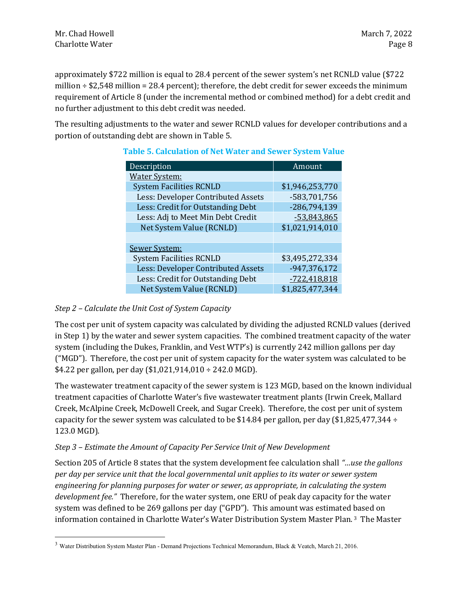approximately \$722 million is equal to 28.4 percent of the sewer system's net RCNLD value (\$722 million  $\div$  \$2,548 million = 28.4 percent); therefore, the debt credit for sewer exceeds the minimum requirement of Article 8 (under the incremental method or combined method) for a debt credit and no further adjustment to this debt credit was needed.

The resulting adjustments to the water and sewer RCNLD values for developer contributions and a portion of outstanding debt are shown in Table 5.

| Description                        | Amount          |  |
|------------------------------------|-----------------|--|
| <b>Water System:</b>               |                 |  |
| <b>System Facilities RCNLD</b>     | \$1,946,253,770 |  |
| Less: Developer Contributed Assets | -583,701,756    |  |
| Less: Credit for Outstanding Debt  | -286,794,139    |  |
| Less: Adj to Meet Min Debt Credit  | $-53,843,865$   |  |
| Net System Value (RCNLD)           | \$1,021,914,010 |  |
|                                    |                 |  |
| <b>Sewer System:</b>               |                 |  |
| <b>System Facilities RCNLD</b>     | \$3,495,272,334 |  |
| Less: Developer Contributed Assets | -947,376,172    |  |
| Less: Credit for Outstanding Debt  | $-722,418,818$  |  |
| Net System Value (RCNLD)           | \$1,825,477,344 |  |

# Table 5. Calculation of Net Water and Sewer System Value

## Step 2 – Calculate the Unit Cost of System Capacity

The cost per unit of system capacity was calculated by dividing the adjusted RCNLD values (derived in Step 1) by the water and sewer system capacities. The combined treatment capacity of the water system (including the Dukes, Franklin, and Vest WTP's) is currently 242 million gallons per day ("MGD"). Therefore, the cost per unit of system capacity for the water system was calculated to be \$4.22 per gallon, per day (\$1,021,914,010 ÷ 242.0 MGD).

The wastewater treatment capacity of the sewer system is 123 MGD, based on the known individual treatment capacities of Charlotte Water's five wastewater treatment plants (Irwin Creek, Mallard Creek, McAlpine Creek, McDowell Creek, and Sugar Creek). Therefore, the cost per unit of system capacity for the sewer system was calculated to be \$14.84 per gallon, per day (\$1,825,477,344 ÷ 123.0 MGD).

## Step 3 – Estimate the Amount of Capacity Per Service Unit of New Development

Section 205 of Article 8 states that the system development fee calculation shall "…use the gallons per day per service unit that the local governmental unit applies to its water or sewer system engineering for planning purposes for water or sewer, as appropriate, in calculating the system development fee." Therefore, for the water system, one ERU of peak day capacity for the water system was defined to be 269 gallons per day ("GPD"). This amount was estimated based on information contained in Charlotte Water's Water Distribution System Master Plan. 3 The Master

<sup>3</sup> Water Distribution System Master Plan - Demand Projections Technical Memorandum, Black & Veatch, March 21, 2016.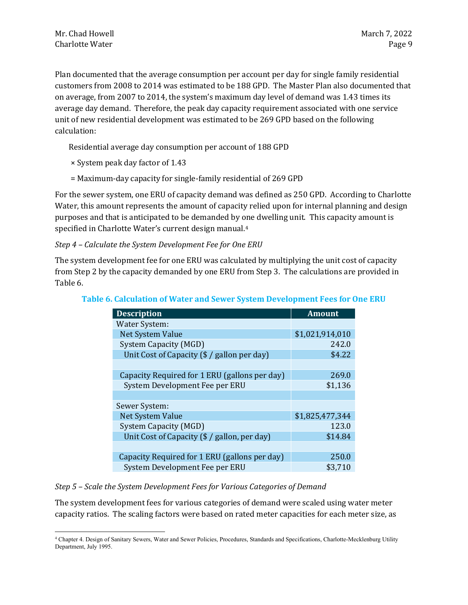Plan documented that the average consumption per account per day for single family residential customers from 2008 to 2014 was estimated to be 188 GPD. The Master Plan also documented that on average, from 2007 to 2014, the system's maximum day level of demand was 1.43 times its average day demand. Therefore, the peak day capacity requirement associated with one service unit of new residential development was estimated to be 269 GPD based on the following calculation:

Residential average day consumption per account of 188 GPD

- × System peak day factor of 1.43
- = Maximum-day capacity for single-family residential of 269 GPD

For the sewer system, one ERU of capacity demand was defined as 250 GPD. According to Charlotte Water, this amount represents the amount of capacity relied upon for internal planning and design purposes and that is anticipated to be demanded by one dwelling unit. This capacity amount is specified in Charlotte Water's current design manual.<sup>4</sup>

### Step 4 – Calculate the System Development Fee for One ERU

The system development fee for one ERU was calculated by multiplying the unit cost of capacity from Step 2 by the capacity demanded by one ERU from Step 3. The calculations are provided in Table 6.

| <b>Description</b>                            | Amount          |
|-----------------------------------------------|-----------------|
| Water System:                                 |                 |
| Net System Value                              | \$1,021,914,010 |
| <b>System Capacity (MGD)</b>                  | 242.0           |
| Unit Cost of Capacity (\$ / gallon per day)   | \$4.22          |
|                                               |                 |
| Capacity Required for 1 ERU (gallons per day) | 269.0           |
| System Development Fee per ERU                | \$1,136         |
|                                               |                 |
| Sewer System:                                 |                 |
| Net System Value                              | \$1,825,477,344 |
| <b>System Capacity (MGD)</b>                  | 123.0           |
| Unit Cost of Capacity (\$ / gallon, per day)  | \$14.84         |
|                                               |                 |
| Capacity Required for 1 ERU (gallons per day) | 250.0           |
| System Development Fee per ERU                | \$3,710         |

#### Table 6. Calculation of Water and Sewer System Development Fees for One ERU

#### Step 5 – Scale the System Development Fees for Various Categories of Demand

The system development fees for various categories of demand were scaled using water meter capacity ratios. The scaling factors were based on rated meter capacities for each meter size, as

<sup>4</sup> Chapter 4. Design of Sanitary Sewers, Water and Sewer Policies, Procedures, Standards and Specifications, Charlotte-Mecklenburg Utility Department, July 1995.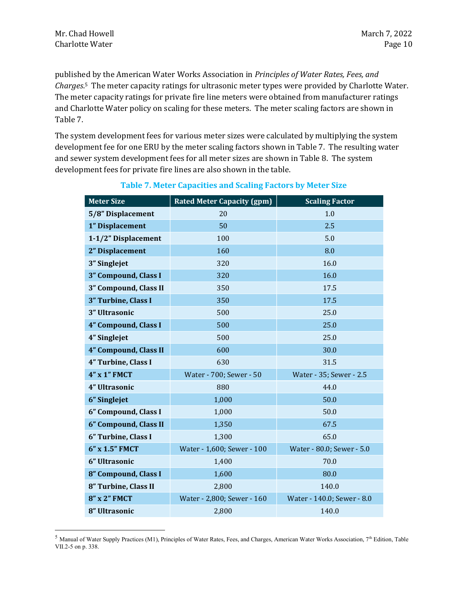published by the American Water Works Association in Principles of Water Rates, Fees, and Charges.5 The meter capacity ratings for ultrasonic meter types were provided by Charlotte Water. The meter capacity ratings for private fire line meters were obtained from manufacturer ratings and Charlotte Water policy on scaling for these meters. The meter scaling factors are shown in Table 7.

The system development fees for various meter sizes were calculated by multiplying the system development fee for one ERU by the meter scaling factors shown in Table 7. The resulting water and sewer system development fees for all meter sizes are shown in Table 8. The system development fees for private fire lines are also shown in the table.

| <b>Meter Size</b>     | <b>Rated Meter Capacity (gpm)</b> | <b>Scaling Factor</b>      |  |
|-----------------------|-----------------------------------|----------------------------|--|
| 5/8" Displacement     | 20                                | 1.0                        |  |
| 1" Displacement       | 50                                | 2.5                        |  |
| 1-1/2" Displacement   | 100                               | 5.0                        |  |
| 2" Displacement       | 160                               | 8.0                        |  |
| 3" Singlejet          | 320                               | 16.0                       |  |
| 3" Compound, Class I  | 320                               | 16.0                       |  |
| 3" Compound, Class II | 350                               | 17.5                       |  |
| 3" Turbine, Class I   | 350                               | 17.5                       |  |
| 3" Ultrasonic         | 500                               | 25.0                       |  |
| 4" Compound, Class I  | 500                               | 25.0                       |  |
| 4" Singlejet          | 500                               | 25.0                       |  |
| 4" Compound, Class II | 600                               | 30.0                       |  |
| 4" Turbine, Class I   | 630                               | 31.5                       |  |
| 4" x 1" FMCT          | Water - 700; Sewer - 50           | Water - 35; Sewer - 2.5    |  |
| 4" Ultrasonic         | 880                               | 44.0                       |  |
| 6" Singlejet          | 1,000                             | 50.0                       |  |
| 6" Compound, Class I  | 1,000                             | 50.0                       |  |
| 6" Compound, Class II | 1,350                             | 67.5                       |  |
| 6" Turbine, Class I   | 1,300                             | 65.0                       |  |
| 6" x 1.5" FMCT        | Water - 1,600; Sewer - 100        | Water - 80.0; Sewer - 5.0  |  |
| 6" Ultrasonic         | 1,400                             | 70.0                       |  |
| 8" Compound, Class I  | 1,600                             | 80.0                       |  |
| 8" Turbine, Class II  | 2,800                             | 140.0                      |  |
| 8" x 2" FMCT          | Water - 2,800; Sewer - 160        | Water - 140.0; Sewer - 8.0 |  |
| 8" Ultrasonic         | 2,800                             | 140.0                      |  |

#### Table 7. Meter Capacities and Scaling Factors by Meter Size

 $5$  Manual of Water Supply Practices (M1), Principles of Water Rates, Fees, and Charges, American Water Works Association,  $7<sup>th</sup>$  Edition, Table VII.2-5 on p. 338.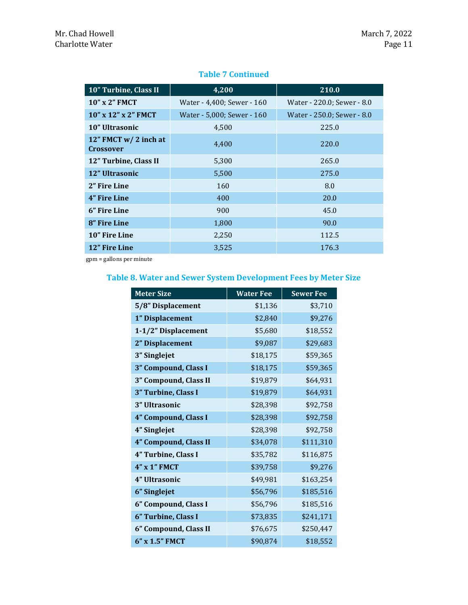| 10" Turbine, Class II                    | 4,200                      | 210.0                      |  |
|------------------------------------------|----------------------------|----------------------------|--|
| 10" x 2" FMCT                            | Water - 4,400; Sewer - 160 | Water - 220.0; Sewer - 8.0 |  |
| $10''$ x $12''$ x $2''$ FMCT             | Water - 5,000; Sewer - 160 | Water - 250.0; Sewer - 8.0 |  |
| 10" Ultrasonic                           | 4,500                      | 225.0                      |  |
| 12" FMCT w/2 inch at<br><b>Crossover</b> | 4,400                      | 220.0                      |  |
| 12" Turbine, Class II                    | 5,300                      | 265.0                      |  |
| 12" Ultrasonic                           | 5,500                      | 275.0                      |  |
| 2" Fire Line                             | 160                        | 8.0                        |  |
| 4" Fire Line                             | 400                        | 20.0                       |  |
| 6" Fire Line                             | 900                        | 45.0                       |  |
| 8" Fire Line                             | 1,800                      | 90.0                       |  |
| <b>10" Fire Line</b>                     | 2,250<br>112.5             |                            |  |
| 12" Fire Line                            | 3,525                      | 176.3                      |  |

# Table 7 Continued

gpm = gallons per minute

## Table 8. Water and Sewer System Development Fees by Meter Size

| <b>Meter Size</b>     | <b>Water Fee</b> | <b>Sewer Fee</b> |
|-----------------------|------------------|------------------|
| 5/8" Displacement     | \$1,136          | \$3,710          |
| 1" Displacement       | \$2,840          | \$9,276          |
| 1-1/2" Displacement   | \$5,680          | \$18,552         |
| 2" Displacement       | \$9,087          | \$29,683         |
| 3" Singlejet          | \$18,175         | \$59,365         |
| 3" Compound, Class I  | \$18,175         | \$59,365         |
| 3" Compound, Class II | \$19,879         | \$64,931         |
| 3" Turbine, Class I   | \$19,879         | \$64,931         |
| 3" Ultrasonic         | \$28,398         | \$92,758         |
| 4" Compound, Class I  | \$28,398         | \$92,758         |
| 4" Singlejet          | \$28,398         | \$92,758         |
| 4" Compound, Class II | \$34,078         | \$111,310        |
| 4" Turbine, Class I   | \$35,782         | \$116,875        |
| 4" x 1" FMCT          | \$39,758         | \$9,276          |
| 4" Ultrasonic         | \$49,981         | \$163,254        |
| 6" Singlejet          | \$56,796         | \$185,516        |
| 6" Compound, Class I  | \$56,796         | \$185,516        |
| 6" Turbine, Class I   | \$73,835         | \$241,171        |
| 6" Compound, Class II | \$76,675         | \$250,447        |
| 6" x 1.5" FMCT        | \$90,874         | \$18,552         |